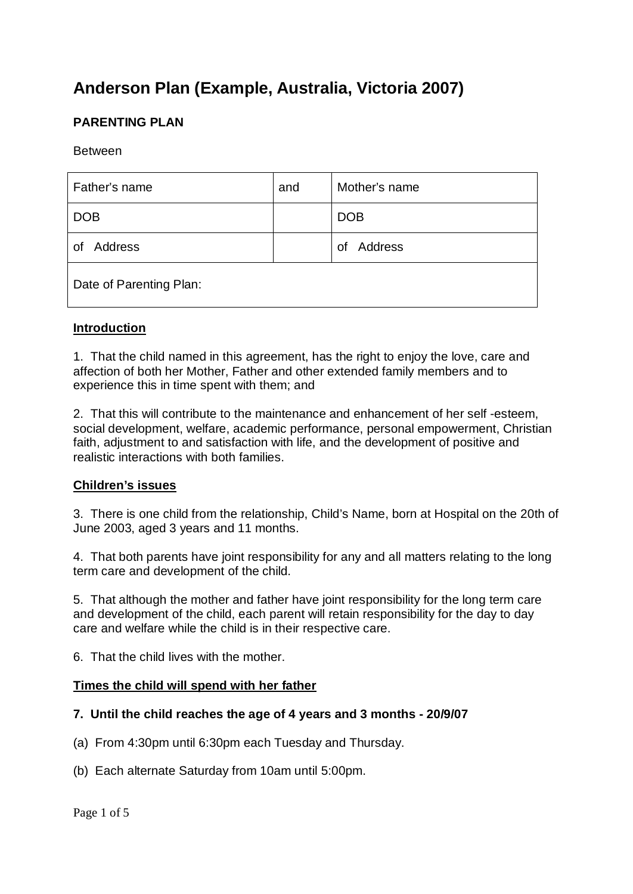# **Anderson Plan (Example, Australia, Victoria 2007)**

# **PARENTING PLAN**

Between

| Father's name           | and | Mother's name |  |  |
|-------------------------|-----|---------------|--|--|
| <b>DOB</b>              |     | <b>DOB</b>    |  |  |
| Address<br>0f           |     | Address<br>Ωf |  |  |
| Date of Parenting Plan: |     |               |  |  |

#### **Introduction**

1. That the child named in this agreement, has the right to enjoy the love, care and affection of both her Mother, Father and other extended family members and to experience this in time spent with them; and

2. That this will contribute to the maintenance and enhancement of her self -esteem, social development, welfare, academic performance, personal empowerment, Christian faith, adjustment to and satisfaction with life, and the development of positive and realistic interactions with both families.

#### **Children's issues**

3. There is one child from the relationship, Child's Name, born at Hospital on the 20th of June 2003, aged 3 years and 11 months.

4. That both parents have joint responsibility for any and all matters relating to the long term care and development of the child.

5. That although the mother and father have joint responsibility for the long term care and development of the child, each parent will retain responsibility for the day to day care and welfare while the child is in their respective care.

6. That the child lives with the mother.

#### **Times the child will spend with her father**

#### **7. Until the child reaches the age of 4 years and 3 months - 20/9/07**

- (a) From 4:30pm until 6:30pm each Tuesday and Thursday.
- (b) Each alternate Saturday from 10am until 5:00pm.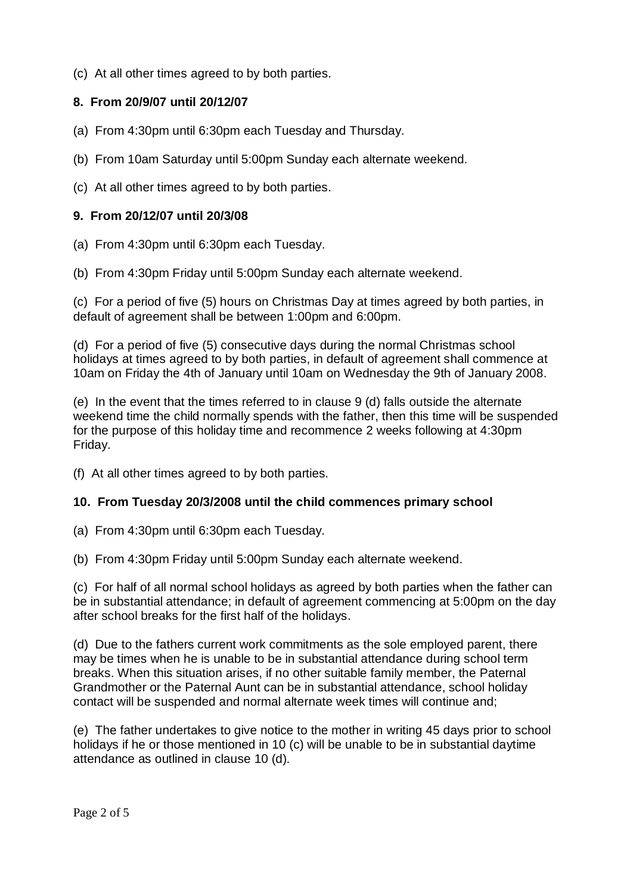(c) At all other times agreed to by both parties.

# **8. From 20/9/07 until 20/12/07**

- (a) From 4:30pm until 6:30pm each Tuesday and Thursday.
- (b) From 10am Saturday until 5:00pm Sunday each alternate weekend.
- (c) At all other times agreed to by both parties.

## **9. From 20/12/07 until 20/3/08**

- (a) From 4:30pm until 6:30pm each Tuesday.
- (b) From 4:30pm Friday until 5:00pm Sunday each alternate weekend.

(c) For a period of five (5) hours on Christmas Day at times agreed by both parties, in default of agreement shall be between 1:00pm and 6:00pm.

(d) For a period of five (5) consecutive days during the normal Christmas school holidays at times agreed to by both parties, in default of agreement shall commence at 10am on Friday the 4th of January until 10am on Wednesday the 9th of January 2008.

(e) In the event that the times referred to in clause 9 (d) falls outside the alternate weekend time the child normally spends with the father, then this time will be suspended for the purpose of this holiday time and recommence 2 weeks following at 4:30pm Friday.

(f) At all other times agreed to by both parties.

#### **10. From Tuesday 20/3/2008 until the child commences primary school**

(a) From 4:30pm until 6:30pm each Tuesday.

(b) From 4:30pm Friday until 5:00pm Sunday each alternate weekend.

(c) For half of all normal school holidays as agreed by both parties when the father can be in substantial attendance; in default of agreement commencing at 5:00pm on the day after school breaks for the first half of the holidays.

(d) Due to the fathers current work commitments as the sole employed parent, there may be times when he is unable to be in substantial attendance during school term breaks. When this situation arises, if no other suitable family member, the Paternal Grandmother or the Paternal Aunt can be in substantial attendance, school holiday contact will be suspended and normal alternate week times will continue and;

(e) The father undertakes to give notice to the mother in writing 45 days prior to school holidays if he or those mentioned in 10 (c) will be unable to be in substantial daytime attendance as outlined in clause 10 (d).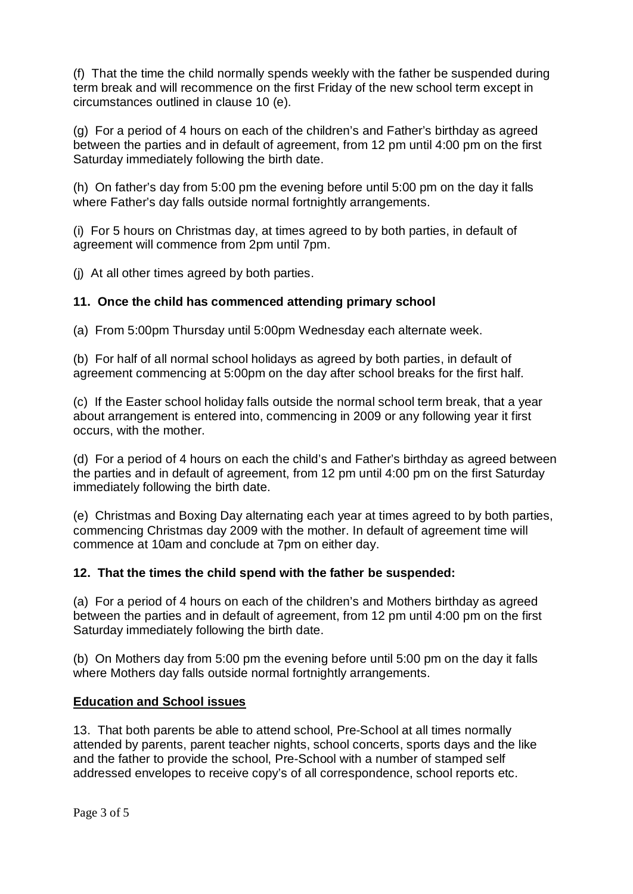(f) That the time the child normally spends weekly with the father be suspended during term break and will recommence on the first Friday of the new school term except in circumstances outlined in clause 10 (e).

(g) For a period of 4 hours on each of the children's and Father's birthday as agreed between the parties and in default of agreement, from 12 pm until 4:00 pm on the first Saturday immediately following the birth date.

(h) On father's day from 5:00 pm the evening before until 5:00 pm on the day it falls where Father's day falls outside normal fortnightly arrangements.

(i) For 5 hours on Christmas day, at times agreed to by both parties, in default of agreement will commence from 2pm until 7pm.

(j) At all other times agreed by both parties.

## **11. Once the child has commenced attending primary school**

(a) From 5:00pm Thursday until 5:00pm Wednesday each alternate week.

(b) For half of all normal school holidays as agreed by both parties, in default of agreement commencing at 5:00pm on the day after school breaks for the first half.

(c) If the Easter school holiday falls outside the normal school term break, that a year about arrangement is entered into, commencing in 2009 or any following year it first occurs, with the mother.

(d) For a period of 4 hours on each the child's and Father's birthday as agreed between the parties and in default of agreement, from 12 pm until 4:00 pm on the first Saturday immediately following the birth date.

(e) Christmas and Boxing Day alternating each year at times agreed to by both parties, commencing Christmas day 2009 with the mother. In default of agreement time will commence at 10am and conclude at 7pm on either day.

#### **12. That the times the child spend with the father be suspended:**

(a) For a period of 4 hours on each of the children's and Mothers birthday as agreed between the parties and in default of agreement, from 12 pm until 4:00 pm on the first Saturday immediately following the birth date.

(b) On Mothers day from 5:00 pm the evening before until 5:00 pm on the day it falls where Mothers day falls outside normal fortnightly arrangements.

#### **Education and School issues**

13. That both parents be able to attend school, Pre-School at all times normally attended by parents, parent teacher nights, school concerts, sports days and the like and the father to provide the school, Pre-School with a number of stamped self addressed envelopes to receive copy's of all correspondence, school reports etc.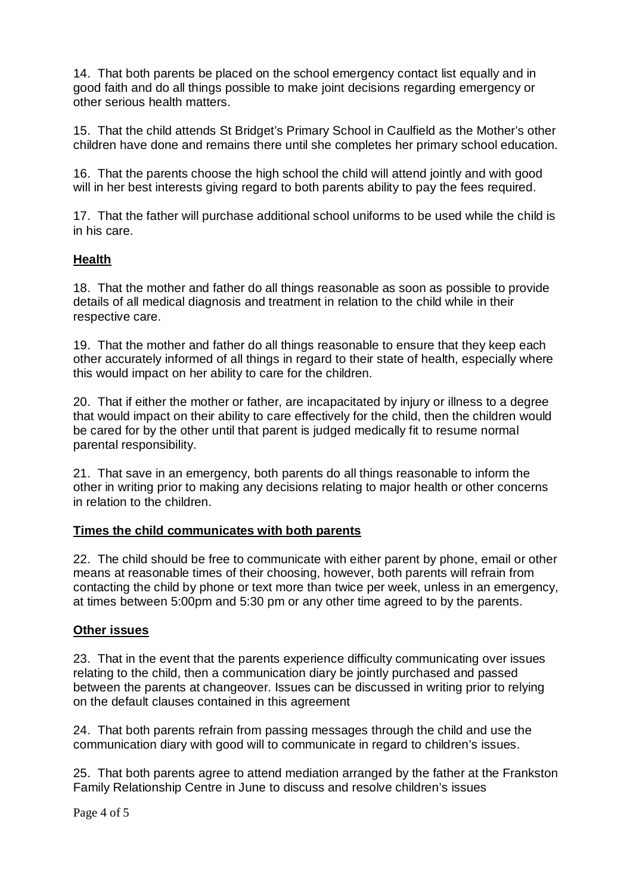14. That both parents be placed on the school emergency contact list equally and in good faith and do all things possible to make joint decisions regarding emergency or other serious health matters.

15. That the child attends St Bridget's Primary School in Caulfield as the Mother's other children have done and remains there until she completes her primary school education.

16. That the parents choose the high school the child will attend jointly and with good will in her best interests giving regard to both parents ability to pay the fees required.

17. That the father will purchase additional school uniforms to be used while the child is in his care.

## **Health**

18. That the mother and father do all things reasonable as soon as possible to provide details of all medical diagnosis and treatment in relation to the child while in their respective care.

19. That the mother and father do all things reasonable to ensure that they keep each other accurately informed of all things in regard to their state of health, especially where this would impact on her ability to care for the children.

20. That if either the mother or father, are incapacitated by injury or illness to a degree that would impact on their ability to care effectively for the child, then the children would be cared for by the other until that parent is judged medically fit to resume normal parental responsibility.

21. That save in an emergency, both parents do all things reasonable to inform the other in writing prior to making any decisions relating to major health or other concerns in relation to the children.

#### **Times the child communicates with both parents**

22. The child should be free to communicate with either parent by phone, email or other means at reasonable times of their choosing, however, both parents will refrain from contacting the child by phone or text more than twice per week, unless in an emergency, at times between 5:00pm and 5:30 pm or any other time agreed to by the parents.

#### **Other issues**

23. That in the event that the parents experience difficulty communicating over issues relating to the child, then a communication diary be jointly purchased and passed between the parents at changeover. Issues can be discussed in writing prior to relying on the default clauses contained in this agreement

24. That both parents refrain from passing messages through the child and use the communication diary with good will to communicate in regard to children's issues.

25. That both parents agree to attend mediation arranged by the father at the Frankston Family Relationship Centre in June to discuss and resolve children's issues

Page 4 of 5